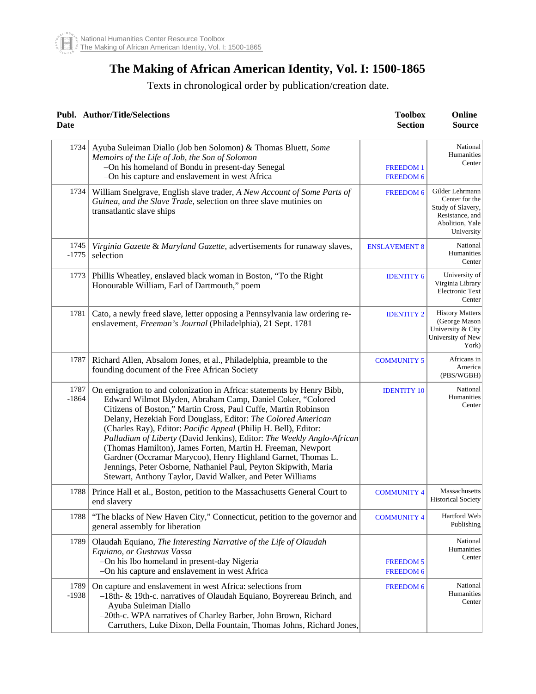## **The Making of African American Identity, Vol. I: 1500-1865**

## Texts in chronological order by publication/creation date.

| <b>Date</b>     | Publ. Author/Title/Selections                                                                                                                                                                                                                                                                                                                                                                                                                                                                                                                                                                                                                                                      | <b>Toolbox</b><br><b>Section</b>     | Online<br><b>Source</b>                                                                                    |
|-----------------|------------------------------------------------------------------------------------------------------------------------------------------------------------------------------------------------------------------------------------------------------------------------------------------------------------------------------------------------------------------------------------------------------------------------------------------------------------------------------------------------------------------------------------------------------------------------------------------------------------------------------------------------------------------------------------|--------------------------------------|------------------------------------------------------------------------------------------------------------|
| 1734            | Ayuba Suleiman Diallo (Job ben Solomon) & Thomas Bluett, Some<br>Memoirs of the Life of Job, the Son of Solomon<br>-On his homeland of Bondu in present-day Senegal<br>-On his capture and enslavement in west Africa                                                                                                                                                                                                                                                                                                                                                                                                                                                              | <b>FREEDOM1</b><br><b>FREEDOM 6</b>  | National<br>Humanities<br>Center                                                                           |
| 1734            | William Snelgrave, English slave trader, A New Account of Some Parts of<br>Guinea, and the Slave Trade, selection on three slave mutinies on<br>transatlantic slave ships                                                                                                                                                                                                                                                                                                                                                                                                                                                                                                          | <b>FREEDOM 6</b>                     | Gilder Lehrmann<br>Center for the<br>Study of Slavery,<br>Resistance, and<br>Abolition, Yale<br>University |
| 1745<br>$-1775$ | Virginia Gazette & Maryland Gazette, advertisements for runaway slaves,<br>selection                                                                                                                                                                                                                                                                                                                                                                                                                                                                                                                                                                                               | <b>ENSLAVEMENT 8</b>                 | National<br>Humanities<br>Center                                                                           |
| 1773            | Phillis Wheatley, enslaved black woman in Boston, "To the Right"<br>Honourable William, Earl of Dartmouth," poem                                                                                                                                                                                                                                                                                                                                                                                                                                                                                                                                                                   | <b>IDENTITY 6</b>                    | University of<br>Virginia Library<br><b>Electronic Text</b><br>Center                                      |
| 1781            | Cato, a newly freed slave, letter opposing a Pennsylvania law ordering re-<br>enslavement, Freeman's Journal (Philadelphia), 21 Sept. 1781                                                                                                                                                                                                                                                                                                                                                                                                                                                                                                                                         | <b>IDENTITY 2</b>                    | <b>History Matters</b><br>(George Mason<br>University & City<br>University of New<br>York)                 |
| 1787            | Richard Allen, Absalom Jones, et al., Philadelphia, preamble to the<br>founding document of the Free African Society                                                                                                                                                                                                                                                                                                                                                                                                                                                                                                                                                               | <b>COMMUNITY 5</b>                   | Africans in<br>America<br>(PBS/WGBH)                                                                       |
| 1787<br>$-1864$ | On emigration to and colonization in Africa: statements by Henry Bibb,<br>Edward Wilmot Blyden, Abraham Camp, Daniel Coker, "Colored<br>Citizens of Boston," Martin Cross, Paul Cuffe, Martin Robinson<br>Delany, Hezekiah Ford Douglass, Editor: The Colored American<br>(Charles Ray), Editor: Pacific Appeal (Philip H. Bell), Editor:<br>Palladium of Liberty (David Jenkins), Editor: The Weekly Anglo-African<br>(Thomas Hamilton), James Forten, Martin H. Freeman, Newport<br>Gardner (Occramar Marycoo), Henry Highland Garnet, Thomas L.<br>Jennings, Peter Osborne, Nathaniel Paul, Peyton Skipwith, Maria<br>Stewart, Anthony Taylor, David Walker, and Peter Williams | <b>IDENTITY 10</b>                   | National<br>Humanities<br>Center                                                                           |
| 1788            | Prince Hall et al., Boston, petition to the Massachusetts General Court to<br>end slavery                                                                                                                                                                                                                                                                                                                                                                                                                                                                                                                                                                                          | <b>COMMUNITY 4</b>                   | Massachusetts<br><b>Historical Society</b>                                                                 |
| 1788            | "The blacks of New Haven City," Connecticut, petition to the governor and<br>general assembly for liberation                                                                                                                                                                                                                                                                                                                                                                                                                                                                                                                                                                       | <b>COMMUNITY 4</b>                   | Hartford Web<br>Publishing                                                                                 |
| 1789            | Olaudah Equiano, The Interesting Narrative of the Life of Olaudah<br>Equiano, or Gustavus Vassa<br>-On his Ibo homeland in present-day Nigeria<br>-On his capture and enslavement in west Africa                                                                                                                                                                                                                                                                                                                                                                                                                                                                                   | <b>FREEDOM 5</b><br><b>FREEDOM 6</b> | National<br>Humanities<br>Center                                                                           |
| 1789<br>$-1938$ | On capture and enslavement in west Africa: selections from<br>-18th- & 19th-c. narratives of Olaudah Equiano, Boyrereau Brinch, and<br>Ayuba Suleiman Diallo<br>-20th-c. WPA narratives of Charley Barber, John Brown, Richard<br>Carruthers, Luke Dixon, Della Fountain, Thomas Johns, Richard Jones,                                                                                                                                                                                                                                                                                                                                                                             | <b>FREEDOM 6</b>                     | National<br>Humanities<br>Center                                                                           |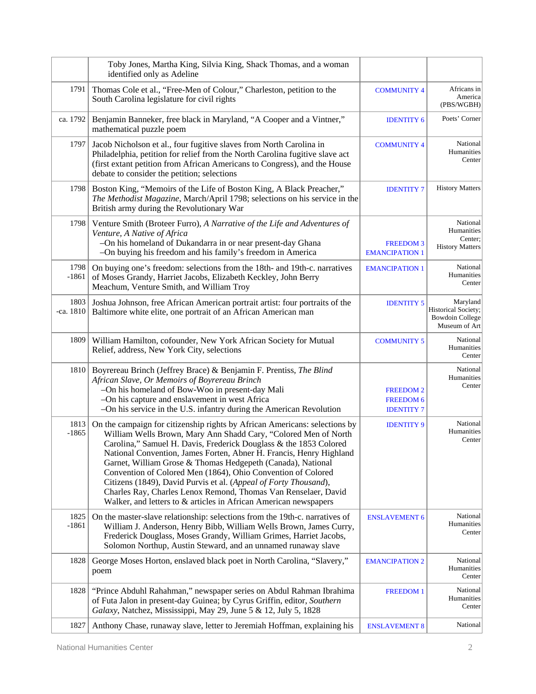|             | identified only as Adeline                          | Toby Jones, Martha King, Silvia King, Shack Thomas, and a woman                                                                                                                                                                                                                                                                                                                                                                                                                                                                                                                                                                    |                                                           |                                                                            |
|-------------|-----------------------------------------------------|------------------------------------------------------------------------------------------------------------------------------------------------------------------------------------------------------------------------------------------------------------------------------------------------------------------------------------------------------------------------------------------------------------------------------------------------------------------------------------------------------------------------------------------------------------------------------------------------------------------------------------|-----------------------------------------------------------|----------------------------------------------------------------------------|
|             | 1791<br>South Carolina legislature for civil rights | Thomas Cole et al., "Free-Men of Colour," Charleston, petition to the                                                                                                                                                                                                                                                                                                                                                                                                                                                                                                                                                              | <b>COMMUNITY 4</b>                                        | Africans in<br>America<br>(PBS/WGBH)                                       |
| ca. 1792    | mathematical puzzle poem                            | Benjamin Banneker, free black in Maryland, "A Cooper and a Vintner,"                                                                                                                                                                                                                                                                                                                                                                                                                                                                                                                                                               | <b>IDENTITY 6</b>                                         | Poets' Corner                                                              |
|             | 1797<br>debate to consider the petition; selections | Jacob Nicholson et al., four fugitive slaves from North Carolina in<br>Philadelphia, petition for relief from the North Carolina fugitive slave act<br>(first extant petition from African Americans to Congress), and the House                                                                                                                                                                                                                                                                                                                                                                                                   | <b>COMMUNITY 4</b>                                        | National<br>Humanities<br>Center                                           |
|             | 1798                                                | Boston King, "Memoirs of the Life of Boston King, A Black Preacher,"<br>The Methodist Magazine, March/April 1798; selections on his service in the<br>British army during the Revolutionary War                                                                                                                                                                                                                                                                                                                                                                                                                                    | <b>IDENTITY 7</b>                                         | <b>History Matters</b>                                                     |
|             | 1798<br>Venture, A Native of Africa                 | Venture Smith (Broteer Furro), A Narrative of the Life and Adventures of<br>-On his homeland of Dukandarra in or near present-day Ghana                                                                                                                                                                                                                                                                                                                                                                                                                                                                                            | <b>FREEDOM3</b>                                           | National<br>Humanities<br>Center:<br><b>History Matters</b>                |
|             | 1798                                                | -On buying his freedom and his family's freedom in America<br>On buying one's freedom: selections from the 18th- and 19th-c. narratives                                                                                                                                                                                                                                                                                                                                                                                                                                                                                            | <b>EMANCIPATION 1</b><br><b>EMANCIPATION 1</b>            | National                                                                   |
|             | $-1861$                                             | of Moses Grandy, Harriet Jacobs, Elizabeth Keckley, John Berry<br>Meachum, Venture Smith, and William Troy                                                                                                                                                                                                                                                                                                                                                                                                                                                                                                                         |                                                           | Humanities<br>Center                                                       |
| $-ca. 1810$ | 1803                                                | Joshua Johnson, free African American portrait artist: four portraits of the<br>Baltimore white elite, one portrait of an African American man                                                                                                                                                                                                                                                                                                                                                                                                                                                                                     | <b>IDENTITY 5</b>                                         | Maryland<br>Historical Society;<br><b>Bowdoin College</b><br>Museum of Art |
|             | 1809                                                | William Hamilton, cofounder, New York African Society for Mutual<br>Relief, address, New York City, selections                                                                                                                                                                                                                                                                                                                                                                                                                                                                                                                     | <b>COMMUNITY 5</b>                                        | National<br>Humanities<br>Center                                           |
|             | 1810                                                | Boyrereau Brinch (Jeffrey Brace) & Benjamin F. Prentiss, The Blind<br>African Slave, Or Memoirs of Boyrereau Brinch<br>-On his homeland of Bow-Woo in present-day Mali<br>-On his capture and enslavement in west Africa<br>-On his service in the U.S. infantry during the American Revolution                                                                                                                                                                                                                                                                                                                                    | <b>FREEDOM 2</b><br><b>FREEDOM 6</b><br><b>IDENTITY 7</b> | National<br>Humanities<br>Center                                           |
|             | 1813<br>$-1865$                                     | On the campaign for citizenship rights by African Americans: selections by<br>William Wells Brown, Mary Ann Shadd Cary, "Colored Men of North<br>Carolina," Samuel H. Davis, Frederick Douglass & the 1853 Colored<br>National Convention, James Forten, Abner H. Francis, Henry Highland<br>Garnet, William Grose & Thomas Hedgepeth (Canada), National<br>Convention of Colored Men (1864), Ohio Convention of Colored<br>Citizens (1849), David Purvis et al. (Appeal of Forty Thousand),<br>Charles Ray, Charles Lenox Remond, Thomas Van Renselaer, David<br>Walker, and letters to & articles in African American newspapers | <b>IDENTITY 9</b>                                         | National<br>Humanities<br>Center                                           |
|             | 1825<br>$-1861$                                     | On the master-slave relationship: selections from the 19th-c. narratives of<br>William J. Anderson, Henry Bibb, William Wells Brown, James Curry,<br>Frederick Douglass, Moses Grandy, William Grimes, Harriet Jacobs,<br>Solomon Northup, Austin Steward, and an unnamed runaway slave                                                                                                                                                                                                                                                                                                                                            | <b>ENSLAVEMENT 6</b>                                      | National<br>Humanities<br>Center                                           |
|             | 1828<br>poem                                        | George Moses Horton, enslaved black poet in North Carolina, "Slavery,"                                                                                                                                                                                                                                                                                                                                                                                                                                                                                                                                                             | <b>EMANCIPATION 2</b>                                     | National<br>Humanities<br>Center                                           |
|             | 1828                                                | "Prince Abduhl Rahahman," newspaper series on Abdul Rahman Ibrahima<br>of Futa Jalon in present-day Guinea; by Cyrus Griffin, editor, Southern<br>Galaxy, Natchez, Mississippi, May 29, June 5 & 12, July 5, 1828                                                                                                                                                                                                                                                                                                                                                                                                                  | <b>FREEDOM1</b>                                           | National<br>Humanities<br>Center                                           |
|             | 1827                                                | Anthony Chase, runaway slave, letter to Jeremiah Hoffman, explaining his                                                                                                                                                                                                                                                                                                                                                                                                                                                                                                                                                           | <b>ENSLAVEMENT 8</b>                                      | National                                                                   |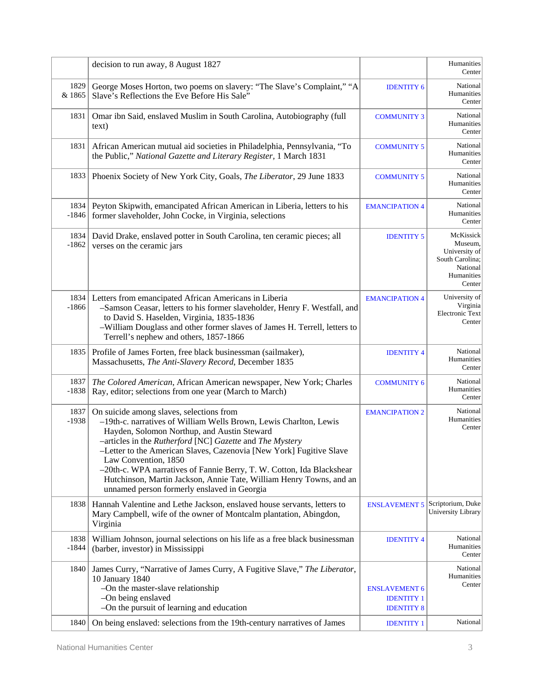|                 | decision to run away, 8 August 1827                                                                                                                                                                                                                                                                                                                                                                                                                                                                                    |                                        | Humanities<br>Center                                                                         |
|-----------------|------------------------------------------------------------------------------------------------------------------------------------------------------------------------------------------------------------------------------------------------------------------------------------------------------------------------------------------------------------------------------------------------------------------------------------------------------------------------------------------------------------------------|----------------------------------------|----------------------------------------------------------------------------------------------|
| 1829<br>& 1865  | George Moses Horton, two poems on slavery: "The Slave's Complaint," "A<br>Slave's Reflections the Eve Before His Sale"                                                                                                                                                                                                                                                                                                                                                                                                 | <b>IDENTITY 6</b>                      | National<br>Humanities<br>Center                                                             |
| 1831            | Omar ibn Said, enslaved Muslim in South Carolina, Autobiography (full<br>text)                                                                                                                                                                                                                                                                                                                                                                                                                                         | <b>COMMUNITY 3</b>                     | National<br>Humanities<br>Center                                                             |
| 1831            | African American mutual aid societies in Philadelphia, Pennsylvania, "To<br>the Public," National Gazette and Literary Register, 1 March 1831                                                                                                                                                                                                                                                                                                                                                                          | <b>COMMUNITY 5</b>                     | National<br>Humanities<br>Center                                                             |
| 1833            | Phoenix Society of New York City, Goals, The Liberator, 29 June 1833                                                                                                                                                                                                                                                                                                                                                                                                                                                   | <b>COMMUNITY 5</b>                     | National<br>Humanities<br>Center                                                             |
| 1834<br>$-1846$ | Peyton Skipwith, emancipated African American in Liberia, letters to his<br>former slaveholder, John Cocke, in Virginia, selections                                                                                                                                                                                                                                                                                                                                                                                    | <b>EMANCIPATION 4</b>                  | National<br>Humanities<br>Center                                                             |
| 1834<br>$-1862$ | David Drake, enslaved potter in South Carolina, ten ceramic pieces; all<br>verses on the ceramic jars                                                                                                                                                                                                                                                                                                                                                                                                                  | <b>IDENTITY 5</b>                      | McKissick<br>Museum.<br>University of<br>South Carolina;<br>National<br>Humanities<br>Center |
| 1834<br>-1866   | Letters from emancipated African Americans in Liberia<br>-Samson Ceasar, letters to his former slaveholder, Henry F. Westfall, and<br>to David S. Haselden, Virginia, 1835-1836<br>-William Douglass and other former slaves of James H. Terrell, letters to<br>Terrell's nephew and others, 1857-1866                                                                                                                                                                                                                 | <b>EMANCIPATION 4</b>                  | University of<br>Virginia<br><b>Electronic Text</b><br>Center                                |
| 1835            | Profile of James Forten, free black businessman (sailmaker),<br>Massachusetts, The Anti-Slavery Record, December 1835                                                                                                                                                                                                                                                                                                                                                                                                  | <b>IDENTITY 4</b>                      | National<br>Humanities<br>Center                                                             |
| 1837<br>$-1838$ | The Colored American, African American newspaper, New York; Charles<br>Ray, editor; selections from one year (March to March)                                                                                                                                                                                                                                                                                                                                                                                          | <b>COMMUNITY 6</b>                     | National<br>Humanities<br>Center                                                             |
| 1837<br>$-1938$ | On suicide among slaves, selections from<br>-19th-c. narratives of William Wells Brown, Lewis Charlton, Lewis<br>Hayden, Solomon Northup, and Austin Steward<br>-articles in the Rutherford [NC] Gazette and The Mystery<br>-Letter to the American Slaves, Cazenovia [New York] Fugitive Slave<br>Law Convention, 1850<br>-20th-c. WPA narratives of Fannie Berry, T. W. Cotton, Ida Blackshear<br>Hutchinson, Martin Jackson, Annie Tate, William Henry Towns, and an<br>unnamed person formerly enslaved in Georgia | <b>EMANCIPATION 2</b>                  | National<br>Humanities<br>Center                                                             |
| 1838            | Hannah Valentine and Lethe Jackson, enslaved house servants, letters to<br>Mary Campbell, wife of the owner of Montcalm plantation, Abingdon,<br>Virginia                                                                                                                                                                                                                                                                                                                                                              | <b>ENSLAVEMENT 5</b>                   | Scriptorium, Duke<br>University Library                                                      |
| 1838<br>$-1844$ | William Johnson, journal selections on his life as a free black businessman<br>(barber, investor) in Mississippi                                                                                                                                                                                                                                                                                                                                                                                                       | <b>IDENTITY 4</b>                      | National<br>Humanities<br>Center                                                             |
| 1840            | James Curry, "Narrative of James Curry, A Fugitive Slave," The Liberator,<br>10 January 1840<br>-On the master-slave relationship                                                                                                                                                                                                                                                                                                                                                                                      | <b>ENSLAVEMENT 6</b>                   | National<br>Humanities<br>Center                                                             |
|                 | -On being enslaved<br>-On the pursuit of learning and education                                                                                                                                                                                                                                                                                                                                                                                                                                                        | <b>IDENTITY 1</b><br><b>IDENTITY 8</b> |                                                                                              |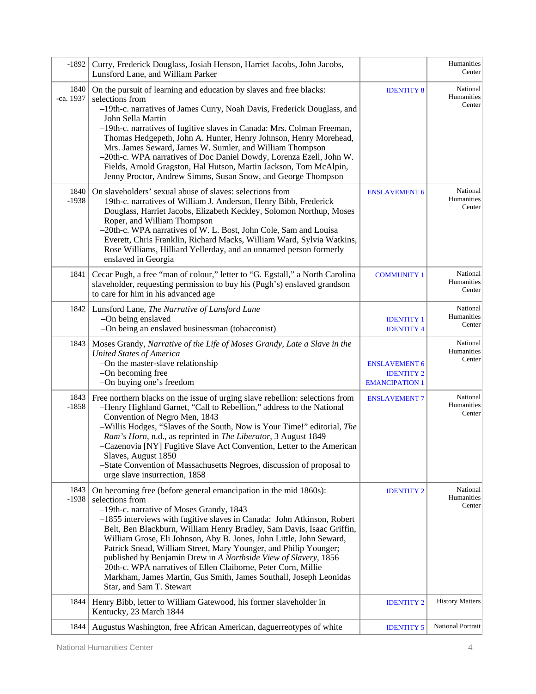| $-1892$           | Curry, Frederick Douglass, Josiah Henson, Harriet Jacobs, John Jacobs,<br>Lunsford Lane, and William Parker                                                                                                                                                                                                                                                                                                                                                                                                                                                                                                                                                         |                                                                    | Humanities<br>Center             |
|-------------------|---------------------------------------------------------------------------------------------------------------------------------------------------------------------------------------------------------------------------------------------------------------------------------------------------------------------------------------------------------------------------------------------------------------------------------------------------------------------------------------------------------------------------------------------------------------------------------------------------------------------------------------------------------------------|--------------------------------------------------------------------|----------------------------------|
| 1840<br>-ca. 1937 | On the pursuit of learning and education by slaves and free blacks:<br>selections from<br>-19th-c. narratives of James Curry, Noah Davis, Frederick Douglass, and<br>John Sella Martin<br>-19th-c. narratives of fugitive slaves in Canada: Mrs. Colman Freeman,<br>Thomas Hedgepeth, John A. Hunter, Henry Johnson, Henry Morehead,<br>Mrs. James Seward, James W. Sumler, and William Thompson<br>-20th-c. WPA narratives of Doc Daniel Dowdy, Lorenza Ezell, John W.<br>Fields, Arnold Gragston, Hal Hutson, Martin Jackson, Tom McAlpin,<br>Jenny Proctor, Andrew Simms, Susan Snow, and George Thompson                                                        | <b>IDENTITY 8</b>                                                  | National<br>Humanities<br>Center |
| 1840<br>$-1938$   | On slaveholders' sexual abuse of slaves: selections from<br>-19th-c. narratives of William J. Anderson, Henry Bibb, Frederick<br>Douglass, Harriet Jacobs, Elizabeth Keckley, Solomon Northup, Moses<br>Roper, and William Thompson<br>-20th-c. WPA narratives of W. L. Bost, John Cole, Sam and Louisa<br>Everett, Chris Franklin, Richard Macks, William Ward, Sylvia Watkins,<br>Rose Williams, Hilliard Yellerday, and an unnamed person formerly<br>enslaved in Georgia                                                                                                                                                                                        | <b>ENSLAVEMENT 6</b>                                               | National<br>Humanities<br>Center |
| 1841              | Cecar Pugh, a free "man of colour," letter to "G. Egstall," a North Carolina<br>slaveholder, requesting permission to buy his (Pugh's) enslaved grandson<br>to care for him in his advanced age                                                                                                                                                                                                                                                                                                                                                                                                                                                                     | <b>COMMUNITY 1</b>                                                 | National<br>Humanities<br>Center |
|                   | 1842<br>Lunsford Lane, The Narrative of Lunsford Lane<br>-On being enslaved<br>-On being an enslaved businessman (tobacconist)                                                                                                                                                                                                                                                                                                                                                                                                                                                                                                                                      | <b>IDENTITY 1</b><br><b>IDENTITY 4</b>                             | National<br>Humanities<br>Center |
|                   | Moses Grandy, Narrative of the Life of Moses Grandy, Late a Slave in the<br>1843<br><b>United States of America</b><br>-On the master-slave relationship<br>-On becoming free<br>-On buying one's freedom                                                                                                                                                                                                                                                                                                                                                                                                                                                           | <b>ENSLAVEMENT 6</b><br><b>IDENTITY 2</b><br><b>EMANCIPATION 1</b> | National<br>Humanities<br>Center |
| 1843<br>$-1858$   | Free northern blacks on the issue of urging slave rebellion: selections from<br>-Henry Highland Garnet, "Call to Rebellion," address to the National<br>Convention of Negro Men, 1843<br>-Willis Hodges, "Slaves of the South, Now is Your Time!" editorial, The<br>Ram's Horn, n.d., as reprinted in The Liberator, 3 August 1849<br>-Cazenovia [NY] Fugitive Slave Act Convention, Letter to the American<br>Slaves, August 1850<br>-State Convention of Massachusetts Negroes, discussion of proposal to<br>urge slave insurrection, 1858                                                                                                                        | <b>ENSLAVEMENT 7</b>                                               | National<br>Humanities<br>Center |
| 1843<br>$-1938$   | On becoming free (before general emancipation in the mid 1860s):<br>selections from<br>-19th-c. narrative of Moses Grandy, 1843<br>-1855 interviews with fugitive slaves in Canada: John Atkinson, Robert<br>Belt, Ben Blackburn, William Henry Bradley, Sam Davis, Isaac Griffin,<br>William Grose, Eli Johnson, Aby B. Jones, John Little, John Seward,<br>Patrick Snead, William Street, Mary Younger, and Philip Younger;<br>published by Benjamin Drew in A Northside View of Slavery, 1856<br>-20th-c. WPA narratives of Ellen Claiborne, Peter Corn, Millie<br>Markham, James Martin, Gus Smith, James Southall, Joseph Leonidas<br>Star, and Sam T. Stewart | <b>IDENTITY 2</b>                                                  | National<br>Humanities<br>Center |
| 1844              | Henry Bibb, letter to William Gatewood, his former slaveholder in<br>Kentucky, 23 March 1844                                                                                                                                                                                                                                                                                                                                                                                                                                                                                                                                                                        | <b>IDENTITY 2</b>                                                  | <b>History Matters</b>           |
| 1844              | Augustus Washington, free African American, daguerreotypes of white                                                                                                                                                                                                                                                                                                                                                                                                                                                                                                                                                                                                 | <b>IDENTITY 5</b>                                                  | National Portrait                |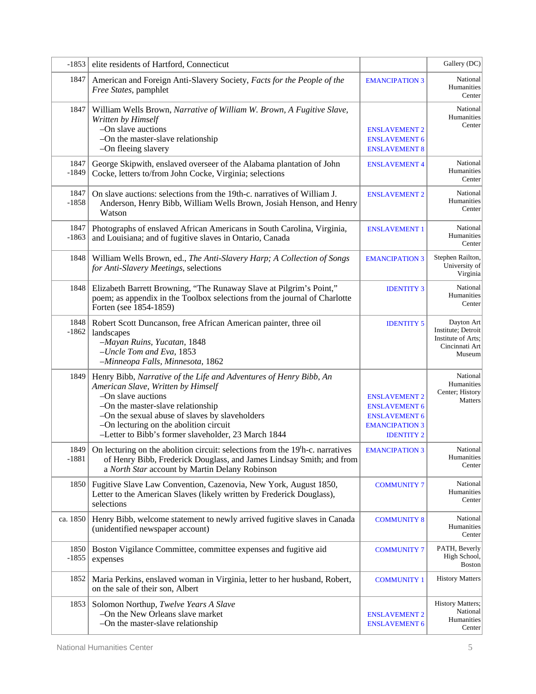| $-1853$         | elite residents of Hartford, Connecticut                                                                                                                                                                                                                                                                               |                                                                                                                    | Gallery (DC)                                                                       |
|-----------------|------------------------------------------------------------------------------------------------------------------------------------------------------------------------------------------------------------------------------------------------------------------------------------------------------------------------|--------------------------------------------------------------------------------------------------------------------|------------------------------------------------------------------------------------|
| 1847            | American and Foreign Anti-Slavery Society, Facts for the People of the<br>Free States, pamphlet                                                                                                                                                                                                                        | <b>EMANCIPATION 3</b>                                                                                              | National<br>Humanities<br>Center                                                   |
| 1847            | William Wells Brown, Narrative of William W. Brown, A Fugitive Slave,<br>Written by Himself<br>-On slave auctions<br>-On the master-slave relationship<br>-On fleeing slavery                                                                                                                                          | <b>ENSLAVEMENT 2</b><br><b>ENSLAVEMENT 6</b><br><b>ENSLAVEMENT 8</b>                                               | National<br>Humanities<br>Center                                                   |
| 1847<br>$-1849$ | George Skipwith, enslaved overseer of the Alabama plantation of John<br>Cocke, letters to/from John Cocke, Virginia; selections                                                                                                                                                                                        | <b>ENSLAVEMENT 4</b>                                                                                               | National<br>Humanities<br>Center                                                   |
| 1847<br>$-1858$ | On slave auctions: selections from the 19th-c. narratives of William J.<br>Anderson, Henry Bibb, William Wells Brown, Josiah Henson, and Henry<br>Watson                                                                                                                                                               | <b>ENSLAVEMENT 2</b>                                                                                               | National<br>Humanities<br>Center                                                   |
| 1847<br>$-1863$ | Photographs of enslaved African Americans in South Carolina, Virginia,<br>and Louisiana; and of fugitive slaves in Ontario, Canada                                                                                                                                                                                     | <b>ENSLAVEMENT 1</b>                                                                                               | National<br>Humanities<br>Center                                                   |
| 1848            | William Wells Brown, ed., The Anti-Slavery Harp; A Collection of Songs<br>for Anti-Slavery Meetings, selections                                                                                                                                                                                                        | <b>EMANCIPATION 3</b>                                                                                              | Stephen Railton,<br>University of<br>Virginia                                      |
| 1848            | Elizabeth Barrett Browning, "The Runaway Slave at Pilgrim's Point,"<br>poem; as appendix in the Toolbox selections from the journal of Charlotte<br>Forten (see 1854-1859)                                                                                                                                             | <b>IDENTITY 3</b>                                                                                                  | National<br>Humanities<br>Center                                                   |
| 1848<br>$-1862$ | Robert Scott Duncanson, free African American painter, three oil<br>landscapes<br>-Mayan Ruins, Yucatan, 1848<br>-Uncle Tom and Eva, 1853<br>-Minneopa Falls, Minnesota, 1862                                                                                                                                          | <b>IDENTITY 5</b>                                                                                                  | Dayton Art<br>Institute; Detroit<br>Institute of Arts;<br>Cincinnati Art<br>Museum |
| 1849            | Henry Bibb, Narrative of the Life and Adventures of Henry Bibb, An<br>American Slave, Written by Himself<br>-On slave auctions<br>-On the master-slave relationship<br>-On the sexual abuse of slaves by slaveholders<br>-On lecturing on the abolition circuit<br>-Letter to Bibb's former slaveholder, 23 March 1844 | <b>ENSLAVEMENT 2</b><br><b>ENSLAVEMENT 6</b><br><b>ENSLAVEMENT 6</b><br><b>EMANCIPATION 3</b><br><b>IDENTITY 2</b> | National<br>Humanities<br>Center; History<br><b>Matters</b>                        |
| 1849<br>$-1881$ | On lecturing on the abolition circuit: selections from the 19 <sup>t</sup> h-c. narratives<br>of Henry Bibb, Frederick Douglass, and James Lindsay Smith; and from<br>a North Star account by Martin Delany Robinson                                                                                                   | <b>EMANCIPATION 3</b>                                                                                              | National<br>Humanities<br>Center                                                   |
| 1850            | Fugitive Slave Law Convention, Cazenovia, New York, August 1850,<br>Letter to the American Slaves (likely written by Frederick Douglass),<br>selections                                                                                                                                                                | <b>COMMUNITY 7</b>                                                                                                 | National<br>Humanities<br>Center                                                   |
| ca. 1850        | Henry Bibb, welcome statement to newly arrived fugitive slaves in Canada<br>(unidentified newspaper account)                                                                                                                                                                                                           | <b>COMMUNITY 8</b>                                                                                                 | National<br>Humanities<br>Center                                                   |
| 1850<br>$-1855$ | Boston Vigilance Committee, committee expenses and fugitive aid<br>expenses                                                                                                                                                                                                                                            | <b>COMMUNITY 7</b>                                                                                                 | PATH, Beverly<br>High School,<br><b>Boston</b>                                     |
| 1852            | Maria Perkins, enslaved woman in Virginia, letter to her husband, Robert,<br>on the sale of their son, Albert                                                                                                                                                                                                          | <b>COMMUNITY 1</b>                                                                                                 | <b>History Matters</b>                                                             |
| 1853            | Solomon Northup, Twelve Years A Slave<br>-On the New Orleans slave market<br>-On the master-slave relationship                                                                                                                                                                                                         | <b>ENSLAVEMENT 2</b><br><b>ENSLAVEMENT 6</b>                                                                       | History Matters;<br>National<br>Humanities<br>Center                               |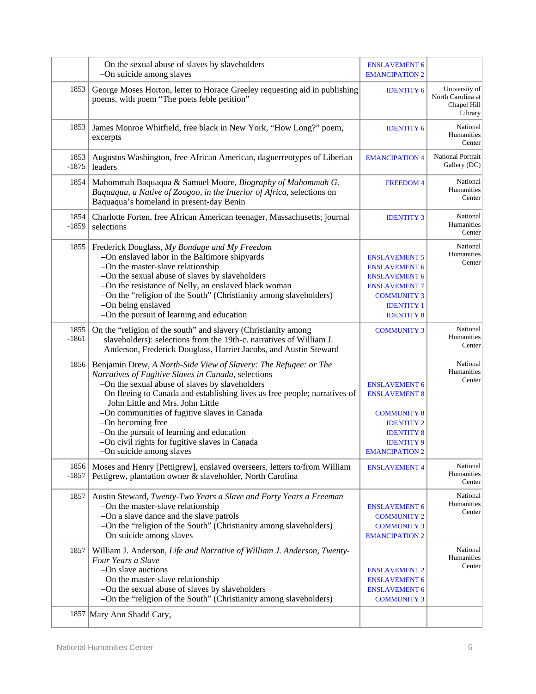|                 | -On the sexual abuse of slaves by slaveholders<br>-On suicide among slaves                                                                                                                                                                                                                                                                                                                                                                                                                  | <b>ENSLAVEMENT 6</b><br><b>EMANCIPATION 2</b>                                                                                                                |                                                              |
|-----------------|---------------------------------------------------------------------------------------------------------------------------------------------------------------------------------------------------------------------------------------------------------------------------------------------------------------------------------------------------------------------------------------------------------------------------------------------------------------------------------------------|--------------------------------------------------------------------------------------------------------------------------------------------------------------|--------------------------------------------------------------|
| 1853            | George Moses Horton, letter to Horace Greeley requesting aid in publishing<br>poems, with poem "The poets feble petition"                                                                                                                                                                                                                                                                                                                                                                   | <b>IDENTITY 6</b>                                                                                                                                            | University of<br>North Carolina at<br>Chapel Hill<br>Library |
| 1853            | James Monroe Whitfield, free black in New York, "How Long?" poem,<br>excerpts                                                                                                                                                                                                                                                                                                                                                                                                               | <b>IDENTITY 6</b>                                                                                                                                            | National<br>Humanities<br>Center                             |
| 1853<br>$-1875$ | Augustus Washington, free African American, daguerreotypes of Liberian<br>leaders                                                                                                                                                                                                                                                                                                                                                                                                           | <b>EMANCIPATION 4</b>                                                                                                                                        | National Portrait<br>Gallery (DC)                            |
| 1854            | Mahommah Baquaqua & Samuel Moore, Biography of Mahommah G.<br>Baquaqua, a Native of Zoogoo, in the Interior of Africa, selections on<br>Baquaqua's homeland in present-day Benin                                                                                                                                                                                                                                                                                                            | <b>FREEDOM4</b>                                                                                                                                              | National<br>Humanities<br>Center                             |
| 1854<br>$-1859$ | Charlotte Forten, free African American teenager, Massachusetts; journal<br>selections                                                                                                                                                                                                                                                                                                                                                                                                      | <b>IDENTITY 3</b>                                                                                                                                            | National<br>Humanities<br>Center                             |
| 1855            | Frederick Douglass, My Bondage and My Freedom<br>-On enslaved labor in the Baltimore shipyards<br>-On the master-slave relationship<br>-On the sexual abuse of slaves by slaveholders<br>-On the resistance of Nelly, an enslaved black woman<br>-On the "religion of the South" (Christianity among slaveholders)<br>-On being enslaved<br>-On the pursuit of learning and education                                                                                                       | <b>ENSLAVEMENT 5</b><br><b>ENSLAVEMENT 6</b><br><b>ENSLAVEMENT 6</b><br><b>ENSLAVEMENT 7</b><br><b>COMMUNITY 3</b><br><b>IDENTITY 1</b><br><b>IDENTITY 8</b> | National<br>Humanities<br>Center                             |
| 1855<br>$-1861$ | On the "religion of the south" and slavery (Christianity among<br>slaveholders): selections from the 19th-c. narratives of William J.<br>Anderson, Frederick Douglass, Harriet Jacobs, and Austin Steward                                                                                                                                                                                                                                                                                   | <b>COMMUNITY 3</b>                                                                                                                                           | National<br>Humanities<br>Center                             |
| 1856            | Benjamin Drew, A North-Side View of Slavery: The Refugee: or The<br>Narratives of Fugitive Slaves in Canada, selections<br>-On the sexual abuse of slaves by slaveholders<br>-On fleeing to Canada and establishing lives as free people; narratives of<br>John Little and Mrs. John Little<br>-On communities of fugitive slaves in Canada<br>-On becoming free<br>-On the pursuit of learning and education<br>-On civil rights for fugitive slaves in Canada<br>-On suicide among slaves | <b>ENSLAVEMENT 6</b><br><b>ENSLAVEMENT 8</b><br><b>COMMUNITY 8</b><br><b>IDENTITY 2</b><br><b>IDENTITY 8</b><br><b>IDENTITY 9</b><br><b>EMANCIPATION 2</b>   | National<br>Humanities<br>Center                             |
| 1856<br>$-1857$ | Moses and Henry [Pettigrew], enslaved overseers, letters to/from William<br>Pettigrew, plantation owner & slaveholder, North Carolina                                                                                                                                                                                                                                                                                                                                                       | <b>ENSLAVEMENT 4</b>                                                                                                                                         | National<br>Humanities<br>Center                             |
| 1857            | Austin Steward, Twenty-Two Years a Slave and Forty Years a Freeman<br>-On the master-slave relationship<br>-On a slave dance and the slave patrols<br>-On the "religion of the South" (Christianity among slaveholders)<br>-On suicide among slaves                                                                                                                                                                                                                                         | <b>ENSLAVEMENT 6</b><br><b>COMMUNITY 2</b><br><b>COMMUNITY 3</b><br><b>EMANCIPATION 2</b>                                                                    | National<br>Humanities<br>Center                             |
| 1857            | William J. Anderson, Life and Narrative of William J. Anderson, Twenty-<br>Four Years a Slave<br>-On slave auctions<br>-On the master-slave relationship<br>-On the sexual abuse of slaves by slaveholders<br>-On the "religion of the South" (Christianity among slaveholders)<br>1857 Mary Ann Shadd Cary,                                                                                                                                                                                | <b>ENSLAVEMENT 2</b><br><b>ENSLAVEMENT 6</b><br><b>ENSLAVEMENT 6</b><br><b>COMMUNITY 3</b>                                                                   | National<br>Humanities<br>Center                             |
|                 |                                                                                                                                                                                                                                                                                                                                                                                                                                                                                             |                                                                                                                                                              |                                                              |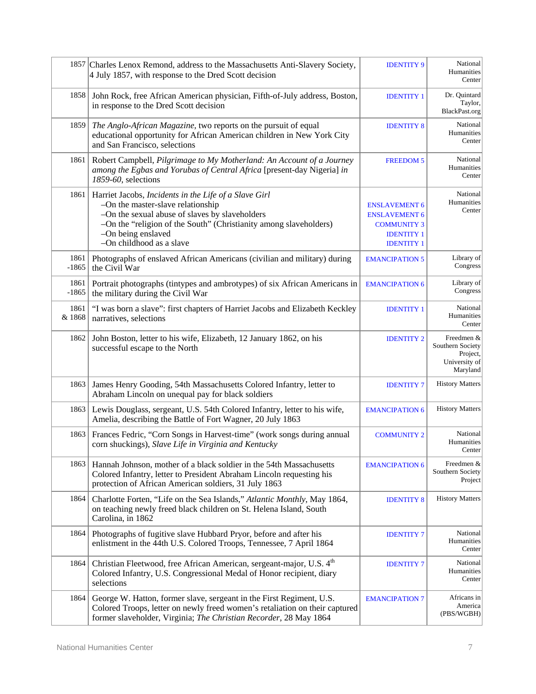|                 | 1857 Charles Lenox Remond, address to the Massachusetts Anti-Slavery Society,<br>4 July 1857, with response to the Dred Scott decision                                                                                                                              | <b>IDENTITY 9</b>                                                                                            | National<br>Humanities<br>Center                                        |
|-----------------|---------------------------------------------------------------------------------------------------------------------------------------------------------------------------------------------------------------------------------------------------------------------|--------------------------------------------------------------------------------------------------------------|-------------------------------------------------------------------------|
| 1858            | John Rock, free African American physician, Fifth-of-July address, Boston,<br>in response to the Dred Scott decision                                                                                                                                                | <b>IDENTITY 1</b>                                                                                            | Dr. Quintard<br>Taylor,<br>BlackPast.org                                |
| 1859            | The Anglo-African Magazine, two reports on the pursuit of equal<br>educational opportunity for African American children in New York City<br>and San Francisco, selections                                                                                          | <b>IDENTITY 8</b>                                                                                            | National<br>Humanities<br>Center                                        |
| 1861            | Robert Campbell, Pilgrimage to My Motherland: An Account of a Journey<br>among the Egbas and Yorubas of Central Africa [present-day Nigeria] in<br>1859-60, selections                                                                                              | <b>FREEDOM 5</b>                                                                                             | National<br>Humanities<br>Center                                        |
| 1861            | Harriet Jacobs, Incidents in the Life of a Slave Girl<br>-On the master-slave relationship<br>-On the sexual abuse of slaves by slaveholders<br>-On the "religion of the South" (Christianity among slaveholders)<br>-On being enslaved<br>-On childhood as a slave | <b>ENSLAVEMENT 6</b><br><b>ENSLAVEMENT 6</b><br><b>COMMUNITY 3</b><br><b>IDENTITY 1</b><br><b>IDENTITY 1</b> | National<br>Humanities<br>Center                                        |
| 1861<br>$-1865$ | Photographs of enslaved African Americans (civilian and military) during<br>the Civil War                                                                                                                                                                           | <b>EMANCIPATION 5</b>                                                                                        | Library of<br>Congress                                                  |
| 1861<br>$-1865$ | Portrait photographs (tintypes and ambrotypes) of six African Americans in<br>the military during the Civil War                                                                                                                                                     | <b>EMANCIPATION 6</b>                                                                                        | Library of<br>Congress                                                  |
| 1861<br>& 1868  | "I was born a slave": first chapters of Harriet Jacobs and Elizabeth Keckley<br>narratives, selections                                                                                                                                                              | <b>IDENTITY 1</b>                                                                                            | National<br>Humanities<br>Center                                        |
| 1862            | John Boston, letter to his wife, Elizabeth, 12 January 1862, on his<br>successful escape to the North                                                                                                                                                               | <b>IDENTITY 2</b>                                                                                            | Freedmen &<br>Southern Society<br>Project,<br>University of<br>Maryland |
| 1863            | James Henry Gooding, 54th Massachusetts Colored Infantry, letter to<br>Abraham Lincoln on unequal pay for black soldiers                                                                                                                                            | <b>IDENTITY 7</b>                                                                                            | <b>History Matters</b>                                                  |
| 1863            | Lewis Douglass, sergeant, U.S. 54th Colored Infantry, letter to his wife,<br>Amelia, describing the Battle of Fort Wagner, 20 July 1863                                                                                                                             | <b>EMANCIPATION 6</b>                                                                                        | <b>History Matters</b>                                                  |
| 1863            | Frances Fedric, "Corn Songs in Harvest-time" (work songs during annual<br>corn shuckings), Slave Life in Virginia and Kentucky                                                                                                                                      | <b>COMMUNITY 2</b>                                                                                           | National<br>Humanities<br>Center                                        |
| $1863 \mid$     | Hannah Johnson, mother of a black soldier in the 54th Massachusetts<br>Colored Infantry, letter to President Abraham Lincoln requesting his<br>protection of African American soldiers, 31 July 1863                                                                | <b>EMANCIPATION 6</b>                                                                                        | Freedmen &<br>Southern Society<br>Project                               |
| 1864            | Charlotte Forten, "Life on the Sea Islands," Atlantic Monthly, May 1864,<br>on teaching newly freed black children on St. Helena Island, South<br>Carolina, in 1862                                                                                                 | <b>IDENTITY 8</b>                                                                                            | <b>History Matters</b>                                                  |
| 1864            | Photographs of fugitive slave Hubbard Pryor, before and after his<br>enlistment in the 44th U.S. Colored Troops, Tennessee, 7 April 1864                                                                                                                            | <b>IDENTITY 7</b>                                                                                            | National<br>Humanities<br>Center                                        |
| 1864            | Christian Fleetwood, free African American, sergeant-major, U.S. 4th<br>Colored Infantry, U.S. Congressional Medal of Honor recipient, diary<br>selections                                                                                                          | <b>IDENTITY 7</b>                                                                                            | National<br>Humanities<br>Center                                        |
| 1864            | George W. Hatton, former slave, sergeant in the First Regiment, U.S.<br>Colored Troops, letter on newly freed women's retaliation on their captured<br>former slaveholder, Virginia; The Christian Recorder, 28 May 1864                                            | <b>EMANCIPATION 7</b>                                                                                        | Africans in<br>America<br>(PBS/WGBH)                                    |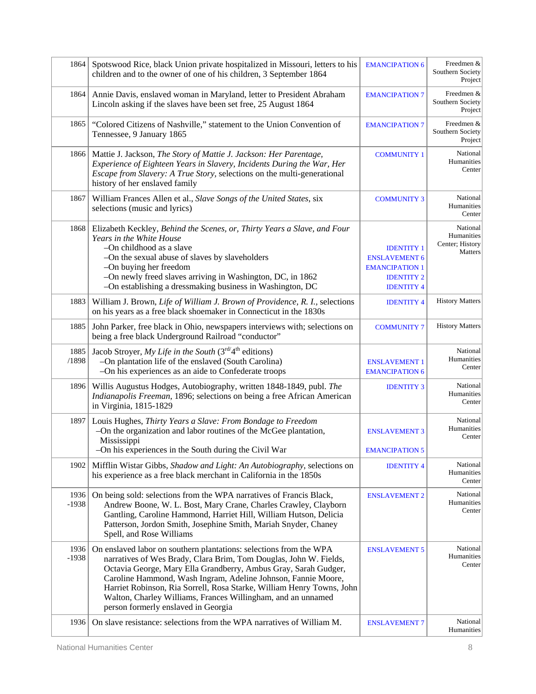| 1864            | Spotswood Rice, black Union private hospitalized in Missouri, letters to his<br>children and to the owner of one of his children, 3 September 1864                                                                                                                                                                                                                                                                                                          | <b>EMANCIPATION 6</b>                                                                                        | Freedmen &<br>Southern Society<br>Project            |
|-----------------|-------------------------------------------------------------------------------------------------------------------------------------------------------------------------------------------------------------------------------------------------------------------------------------------------------------------------------------------------------------------------------------------------------------------------------------------------------------|--------------------------------------------------------------------------------------------------------------|------------------------------------------------------|
| 1864            | Annie Davis, enslaved woman in Maryland, letter to President Abraham<br>Lincoln asking if the slaves have been set free, 25 August 1864                                                                                                                                                                                                                                                                                                                     | <b>EMANCIPATION 7</b>                                                                                        | Freedmen &<br>Southern Society<br>Project            |
| 1865            | "Colored Citizens of Nashville," statement to the Union Convention of<br>Tennessee, 9 January 1865                                                                                                                                                                                                                                                                                                                                                          | <b>EMANCIPATION 7</b>                                                                                        | Freedmen &<br>Southern Society<br>Project            |
| 1866            | Mattie J. Jackson, The Story of Mattie J. Jackson: Her Parentage,<br>Experience of Eighteen Years in Slavery, Incidents During the War, Her<br><i>Escape from Slavery: A True Story, selections on the multi-generational</i><br>history of her enslaved family                                                                                                                                                                                             | <b>COMMUNITY 1</b>                                                                                           | National<br>Humanities<br>Center                     |
| 1867            | William Frances Allen et al., Slave Songs of the United States, six<br>selections (music and lyrics)                                                                                                                                                                                                                                                                                                                                                        | <b>COMMUNITY 3</b>                                                                                           | National<br>Humanities<br>Center                     |
| 1868            | Elizabeth Keckley, Behind the Scenes, or, Thirty Years a Slave, and Four<br>Years in the White House<br>-On childhood as a slave<br>-On the sexual abuse of slaves by slaveholders<br>-On buying her freedom<br>-On newly freed slaves arriving in Washington, DC, in 1862<br>-On establishing a dressmaking business in Washington, DC                                                                                                                     | <b>IDENTITY 1</b><br><b>ENSLAVEMENT 6</b><br><b>EMANCIPATION 1</b><br><b>IDENTITY 2</b><br><b>IDENTITY 4</b> | National<br>Humanities<br>Center; History<br>Matters |
| 1883            | William J. Brown, Life of William J. Brown of Providence, R. I., selections<br>on his years as a free black shoemaker in Connecticut in the 1830s                                                                                                                                                                                                                                                                                                           | <b>IDENTITY 4</b>                                                                                            | <b>History Matters</b>                               |
| 1885            | John Parker, free black in Ohio, newspapers interviews with; selections on<br>being a free black Underground Railroad "conductor"                                                                                                                                                                                                                                                                                                                           | <b>COMMUNITY 7</b>                                                                                           | <b>History Matters</b>                               |
| 1885<br>/1898   | Jacob Stroyer, My Life in the South ( $3rd4th$ editions)<br>-On plantation life of the enslaved (South Carolina)<br>-On his experiences as an aide to Confederate troops                                                                                                                                                                                                                                                                                    | <b>ENSLAVEMENT 1</b><br><b>EMANCIPATION 6</b>                                                                | National<br>Humanities<br>Center                     |
| 1896            | Willis Augustus Hodges, Autobiography, written 1848-1849, publ. The<br>Indianapolis Freeman, 1896; selections on being a free African American<br>in Virginia, 1815-1829                                                                                                                                                                                                                                                                                    | <b>IDENTITY 3</b>                                                                                            | National<br>Humanities<br>Center                     |
| 1897            | Louis Hughes, Thirty Years a Slave: From Bondage to Freedom<br>-On the organization and labor routines of the McGee plantation,<br>Mississippi<br>-On his experiences in the South during the Civil War                                                                                                                                                                                                                                                     | <b>ENSLAVEMENT 3</b><br><b>EMANCIPATION 5</b>                                                                | National<br>Humanities<br>Center                     |
| 1902            | Mifflin Wistar Gibbs, Shadow and Light: An Autobiography, selections on<br>his experience as a free black merchant in California in the 1850s                                                                                                                                                                                                                                                                                                               | <b>IDENTITY 4</b>                                                                                            | National<br>Humanities<br>Center                     |
| 1936<br>$-1938$ | On being sold: selections from the WPA narratives of Francis Black,<br>Andrew Boone, W. L. Bost, Mary Crane, Charles Crawley, Clayborn<br>Gantling, Caroline Hammond, Harriet Hill, William Hutson, Delicia<br>Patterson, Jordon Smith, Josephine Smith, Mariah Snyder, Chaney<br>Spell, and Rose Williams                                                                                                                                                  | <b>ENSLAVEMENT 2</b>                                                                                         | National<br>Humanities<br>Center                     |
| 1936<br>$-1938$ | On enslaved labor on southern plantations: selections from the WPA<br>narratives of Wes Brady, Clara Brim, Tom Douglas, John W. Fields,<br>Octavia George, Mary Ella Grandberry, Ambus Gray, Sarah Gudger,<br>Caroline Hammond, Wash Ingram, Adeline Johnson, Fannie Moore,<br>Harriet Robinson, Ria Sorrell, Rosa Starke, William Henry Towns, John<br>Walton, Charley Williams, Frances Willingham, and an unnamed<br>person formerly enslaved in Georgia | <b>ENSLAVEMENT 5</b>                                                                                         | National<br>Humanities<br>Center                     |
| 1936            | On slave resistance: selections from the WPA narratives of William M.                                                                                                                                                                                                                                                                                                                                                                                       | <b>ENSLAVEMENT 7</b>                                                                                         | National<br>Humanities                               |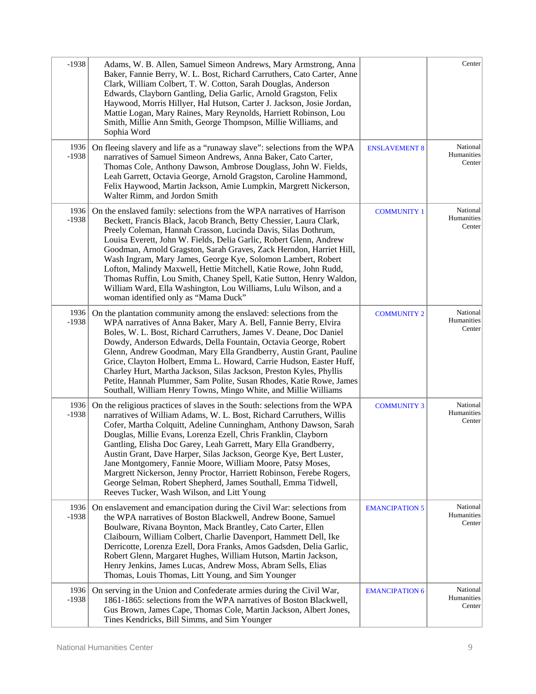| $-1938$         | Adams, W. B. Allen, Samuel Simeon Andrews, Mary Armstrong, Anna<br>Baker, Fannie Berry, W. L. Bost, Richard Carruthers, Cato Carter, Anne<br>Clark, William Colbert, T. W. Cotton, Sarah Douglas, Anderson<br>Edwards, Clayborn Gantling, Delia Garlic, Arnold Gragston, Felix<br>Haywood, Morris Hillyer, Hal Hutson, Carter J. Jackson, Josie Jordan,<br>Mattie Logan, Mary Raines, Mary Reynolds, Harriett Robinson, Lou<br>Smith, Millie Ann Smith, George Thompson, Millie Williams, and<br>Sophia Word                                                                                                                                                                           |                       | Center                           |
|-----------------|----------------------------------------------------------------------------------------------------------------------------------------------------------------------------------------------------------------------------------------------------------------------------------------------------------------------------------------------------------------------------------------------------------------------------------------------------------------------------------------------------------------------------------------------------------------------------------------------------------------------------------------------------------------------------------------|-----------------------|----------------------------------|
| 1936<br>$-1938$ | On fleeing slavery and life as a "runaway slave": selections from the WPA<br>narratives of Samuel Simeon Andrews, Anna Baker, Cato Carter,<br>Thomas Cole, Anthony Dawson, Ambrose Douglass, John W. Fields,<br>Leah Garrett, Octavia George, Arnold Gragston, Caroline Hammond,<br>Felix Haywood, Martin Jackson, Amie Lumpkin, Margrett Nickerson,<br>Walter Rimm, and Jordon Smith                                                                                                                                                                                                                                                                                                  | <b>ENSLAVEMENT 8</b>  | National<br>Humanities<br>Center |
| 1936<br>$-1938$ | On the enslaved family: selections from the WPA narratives of Harrison<br>Beckett, Francis Black, Jacob Branch, Betty Chessier, Laura Clark,<br>Preely Coleman, Hannah Crasson, Lucinda Davis, Silas Dothrum,<br>Louisa Everett, John W. Fields, Delia Garlic, Robert Glenn, Andrew<br>Goodman, Arnold Gragston, Sarah Graves, Zack Herndon, Harriet Hill,<br>Wash Ingram, Mary James, George Kye, Solomon Lambert, Robert<br>Lofton, Malindy Maxwell, Hettie Mitchell, Katie Rowe, John Rudd,<br>Thomas Ruffin, Lou Smith, Chaney Spell, Katie Sutton, Henry Waldon,<br>William Ward, Ella Washington, Lou Williams, Lulu Wilson, and a<br>woman identified only as "Mama Duck"       | <b>COMMUNITY 1</b>    | National<br>Humanities<br>Center |
| 1936<br>$-1938$ | On the plantation community among the enslaved: selections from the<br>WPA narratives of Anna Baker, Mary A. Bell, Fannie Berry, Elvira<br>Boles, W. L. Bost, Richard Carruthers, James V. Deane, Doc Daniel<br>Dowdy, Anderson Edwards, Della Fountain, Octavia George, Robert<br>Glenn, Andrew Goodman, Mary Ella Grandberry, Austin Grant, Pauline<br>Grice, Clayton Holbert, Emma L. Howard, Carrie Hudson, Easter Huff,<br>Charley Hurt, Martha Jackson, Silas Jackson, Preston Kyles, Phyllis<br>Petite, Hannah Plummer, Sam Polite, Susan Rhodes, Katie Rowe, James<br>Southall, William Henry Towns, Mingo White, and Millie Williams                                          | <b>COMMUNITY 2</b>    | National<br>Humanities<br>Center |
| 1936<br>$-1938$ | On the religious practices of slaves in the South: selections from the WPA<br>narratives of William Adams, W. L. Bost, Richard Carruthers, Willis<br>Cofer, Martha Colquitt, Adeline Cunningham, Anthony Dawson, Sarah<br>Douglas, Millie Evans, Lorenza Ezell, Chris Franklin, Clayborn<br>Gantling, Elisha Doc Garey, Leah Garrett, Mary Ella Grandberry,<br>Austin Grant, Dave Harper, Silas Jackson, George Kye, Bert Luster,<br>Jane Montgomery, Fannie Moore, William Moore, Patsy Moses,<br>Margrett Nickerson, Jenny Proctor, Harriett Robinson, Ferebe Rogers,<br>George Selman, Robert Shepherd, James Southall, Emma Tidwell,<br>Reeves Tucker, Wash Wilson, and Litt Young | <b>COMMUNITY 3</b>    | National<br>Humanities<br>Center |
| 1936<br>$-1938$ | On enslavement and emancipation during the Civil War: selections from<br>the WPA narratives of Boston Blackwell, Andrew Boone, Samuel<br>Boulware, Rivana Boynton, Mack Brantley, Cato Carter, Ellen<br>Claibourn, William Colbert, Charlie Davenport, Hammett Dell, Ike<br>Derricotte, Lorenza Ezell, Dora Franks, Amos Gadsden, Delia Garlic,<br>Robert Glenn, Margaret Hughes, William Hutson, Martin Jackson,<br>Henry Jenkins, James Lucas, Andrew Moss, Abram Sells, Elias<br>Thomas, Louis Thomas, Litt Young, and Sim Younger                                                                                                                                                  | <b>EMANCIPATION 5</b> | National<br>Humanities<br>Center |
| 1936<br>$-1938$ | On serving in the Union and Confederate armies during the Civil War,<br>1861-1865: selections from the WPA narratives of Boston Blackwell,<br>Gus Brown, James Cape, Thomas Cole, Martin Jackson, Albert Jones,<br>Tines Kendricks, Bill Simms, and Sim Younger                                                                                                                                                                                                                                                                                                                                                                                                                        | <b>EMANCIPATION 6</b> | National<br>Humanities<br>Center |